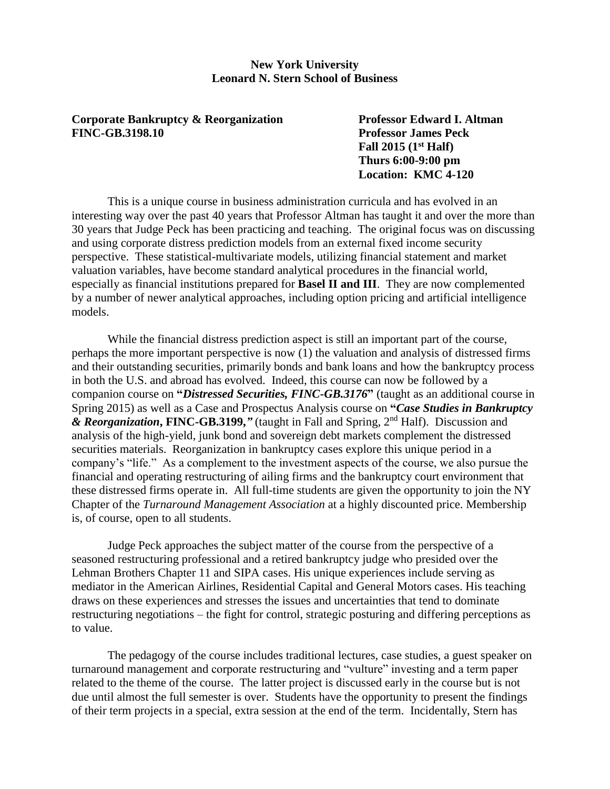#### **New York University Leonard N. Stern School of Business**

**Corporate Bankruptcy & Reorganization Professor Edward I. Altman FINC-GB.3198.10 Professor James Peck**

**Fall 2015 (1st Half) Thurs 6:00-9:00 pm Location: KMC 4-120**

This is a unique course in business administration curricula and has evolved in an interesting way over the past 40 years that Professor Altman has taught it and over the more than 30 years that Judge Peck has been practicing and teaching. The original focus was on discussing and using corporate distress prediction models from an external fixed income security perspective. These statistical-multivariate models, utilizing financial statement and market valuation variables, have become standard analytical procedures in the financial world, especially as financial institutions prepared for **Basel II and III**. They are now complemented by a number of newer analytical approaches, including option pricing and artificial intelligence models.

While the financial distress prediction aspect is still an important part of the course, perhaps the more important perspective is now (1) the valuation and analysis of distressed firms and their outstanding securities, primarily bonds and bank loans and how the bankruptcy process in both the U.S. and abroad has evolved. Indeed, this course can now be followed by a companion course on **"***Distressed Securities, FINC-GB.3176***"** (taught as an additional course in Spring 2015) as well as a Case and Prospectus Analysis course on **"***Case Studies in Bankruptcy & Reorganization***, FINC-GB.3199,***"* (taught in Fall and Spring, 2nd Half).Discussion and analysis of the high-yield, junk bond and sovereign debt markets complement the distressed securities materials. Reorganization in bankruptcy cases explore this unique period in a company's "life." As a complement to the investment aspects of the course, we also pursue the financial and operating restructuring of ailing firms and the bankruptcy court environment that these distressed firms operate in. All full-time students are given the opportunity to join the NY Chapter of the *Turnaround Management Association* at a highly discounted price. Membership is, of course, open to all students.

Judge Peck approaches the subject matter of the course from the perspective of a seasoned restructuring professional and a retired bankruptcy judge who presided over the Lehman Brothers Chapter 11 and SIPA cases. His unique experiences include serving as mediator in the American Airlines, Residential Capital and General Motors cases. His teaching draws on these experiences and stresses the issues and uncertainties that tend to dominate restructuring negotiations – the fight for control, strategic posturing and differing perceptions as to value.

The pedagogy of the course includes traditional lectures, case studies, a guest speaker on turnaround management and corporate restructuring and "vulture" investing and a term paper related to the theme of the course. The latter project is discussed early in the course but is not due until almost the full semester is over. Students have the opportunity to present the findings of their term projects in a special, extra session at the end of the term. Incidentally, Stern has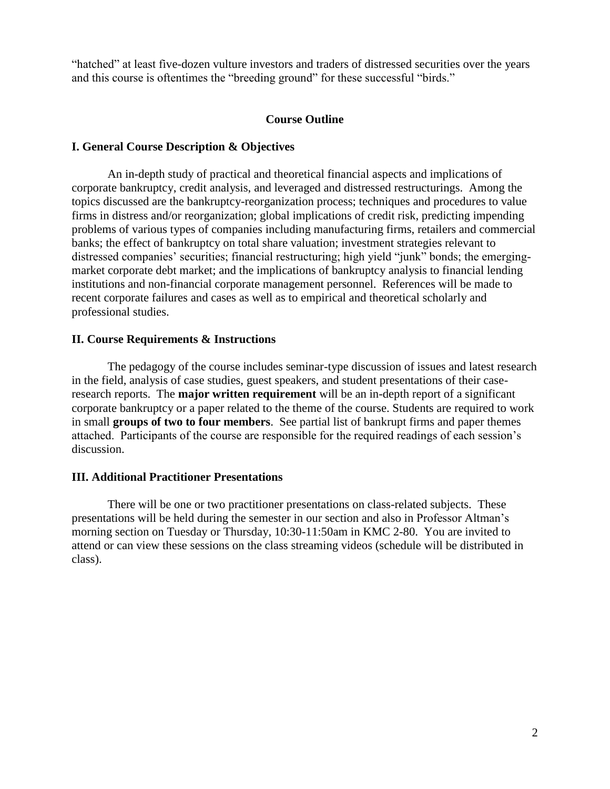"hatched" at least five-dozen vulture investors and traders of distressed securities over the years and this course is oftentimes the "breeding ground" for these successful "birds."

#### **Course Outline**

#### **I. General Course Description & Objectives**

An in-depth study of practical and theoretical financial aspects and implications of corporate bankruptcy, credit analysis, and leveraged and distressed restructurings. Among the topics discussed are the bankruptcy-reorganization process; techniques and procedures to value firms in distress and/or reorganization; global implications of credit risk, predicting impending problems of various types of companies including manufacturing firms, retailers and commercial banks; the effect of bankruptcy on total share valuation; investment strategies relevant to distressed companies' securities; financial restructuring; high yield "junk" bonds; the emergingmarket corporate debt market; and the implications of bankruptcy analysis to financial lending institutions and non-financial corporate management personnel. References will be made to recent corporate failures and cases as well as to empirical and theoretical scholarly and professional studies.

#### **II. Course Requirements & Instructions**

The pedagogy of the course includes seminar-type discussion of issues and latest research in the field, analysis of case studies, guest speakers, and student presentations of their caseresearch reports. The **major written requirement** will be an in-depth report of a significant corporate bankruptcy or a paper related to the theme of the course. Students are required to work in small **groups of two to four members**. See partial list of bankrupt firms and paper themes attached. Participants of the course are responsible for the required readings of each session's discussion.

#### **III. Additional Practitioner Presentations**

There will be one or two practitioner presentations on class-related subjects. These presentations will be held during the semester in our section and also in Professor Altman's morning section on Tuesday or Thursday, 10:30-11:50am in KMC 2-80. You are invited to attend or can view these sessions on the class streaming videos (schedule will be distributed in class).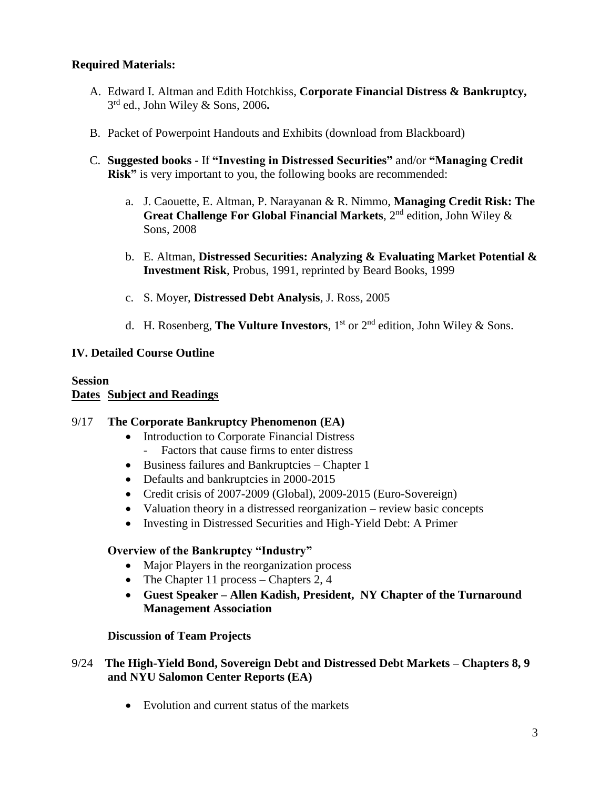# **Required Materials:**

- A. Edward I. Altman and Edith Hotchkiss, **Corporate Financial Distress & Bankruptcy,**  3 rd ed., John Wiley & Sons, 2006**.**
- B. Packet of Powerpoint Handouts and Exhibits (download from Blackboard)
- C. **Suggested books -** If **"Investing in Distressed Securities"** and/or **"Managing Credit Risk"** is very important to you, the following books are recommended:
	- a. J. Caouette, E. Altman, P. Narayanan & R. Nimmo, **Managing Credit Risk: The Great Challenge For Global Financial Markets**, 2nd edition, John Wiley & Sons, 2008
	- b. E. Altman, **Distressed Securities: Analyzing & Evaluating Market Potential & Investment Risk**, Probus, 1991, reprinted by Beard Books, 1999
	- c. S. Moyer, **Distressed Debt Analysis**, J. Ross, 2005
	- d. H. Rosenberg, **The Vulture Investors**, 1 st or 2nd edition, John Wiley & Sons.

# **IV. Detailed Course Outline**

#### **Session Dates Subject and Readings**

#### 9/17 **The Corporate Bankruptcy Phenomenon (EA)**

- Introduction to Corporate Financial Distress
	- Factors that cause firms to enter distress
- Business failures and Bankruptcies Chapter 1
- Defaults and bankruptcies in 2000-2015
- Credit crisis of 2007-2009 (Global), 2009-2015 (Euro-Sovereign)
- Valuation theory in a distressed reorganization review basic concepts
- Investing in Distressed Securities and High-Yield Debt: A Primer

# **Overview of the Bankruptcy "Industry"**

- Major Players in the reorganization process
- The Chapter 11 process Chapters 2, 4
- **Guest Speaker – Allen Kadish, President, NY Chapter of the Turnaround Management Association**

# **Discussion of Team Projects**

## 9/24 **The High-Yield Bond, Sovereign Debt and Distressed Debt Markets – Chapters 8, 9 and NYU Salomon Center Reports (EA)**

• Evolution and current status of the markets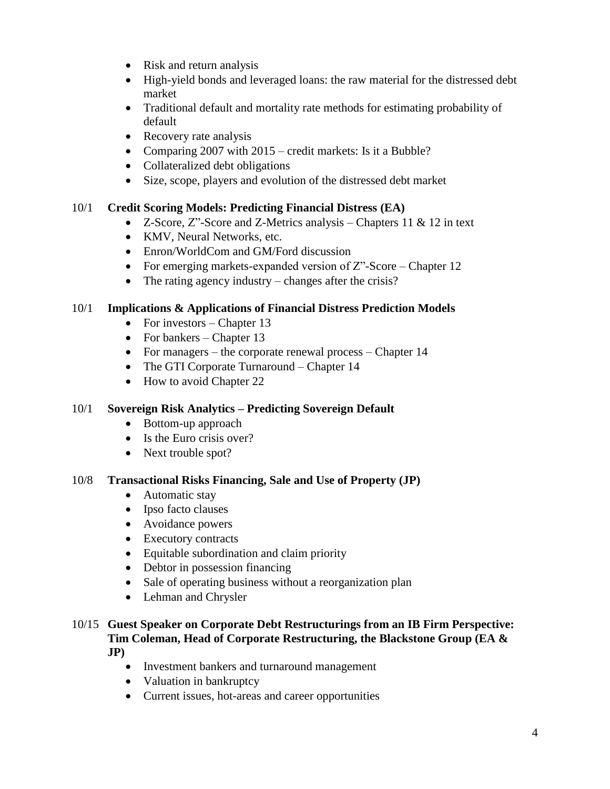- Risk and return analysis
- High-yield bonds and leveraged loans: the raw material for the distressed debt market
- Traditional default and mortality rate methods for estimating probability of default
- Recovery rate analysis
- Comparing 2007 with 2015 credit markets: Is it a Bubble?
- Collateralized debt obligations
- Size, scope, players and evolution of the distressed debt market

# 10/1 **Credit Scoring Models: Predicting Financial Distress (EA)**

- Z-Score,  $Z^{\prime\prime}$ -Score and Z-Metrics analysis Chapters 11 & 12 in text
- KMV, Neural Networks, etc.
- Enron/WorldCom and GM/Ford discussion
- For emerging markets-expanded version of  $Z$ "-Score Chapter 12
- The rating agency industry changes after the crisis?

# 10/1 **Implications & Applications of Financial Distress Prediction Models**

- For investors Chapter 13
- For bankers Chapter  $13$
- For managers the corporate renewal process Chapter 14
- The GTI Corporate Turnaround Chapter 14
- How to avoid Chapter 22

# 10/1 **Sovereign Risk Analytics – Predicting Sovereign Default**

- Bottom-up approach
- Is the Euro crisis over?
- Next trouble spot?

# 10/8 **Transactional Risks Financing, Sale and Use of Property (JP)**

- Automatic stay
- Ipso facto clauses
- Avoidance powers
- Executory contracts
- Equitable subordination and claim priority
- Debtor in possession financing
- Sale of operating business without a reorganization plan
- Lehman and Chrysler

## 10/15 **Guest Speaker on Corporate Debt Restructurings from an IB Firm Perspective: Tim Coleman, Head of Corporate Restructuring, the Blackstone Group (EA & JP)**

- Investment bankers and turnaround management
- Valuation in bankruptcy
- Current issues, hot-areas and career opportunities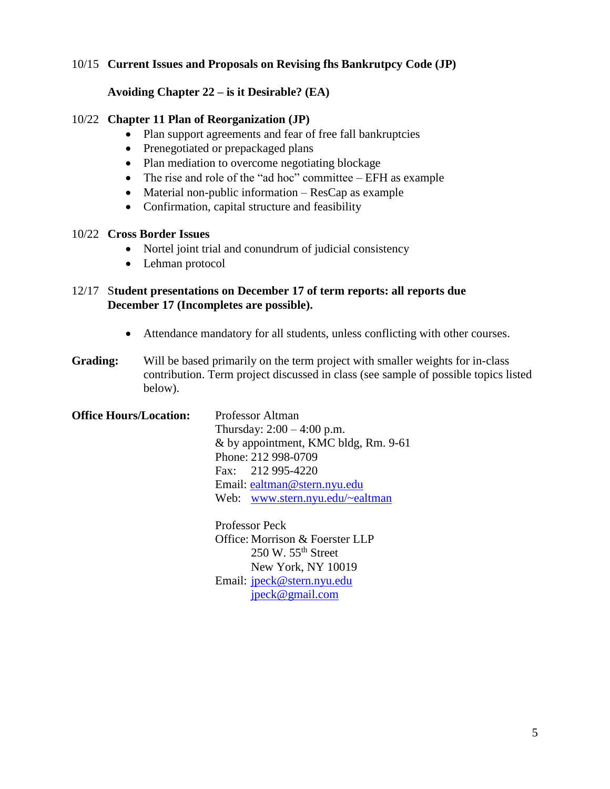# 10/15 **Current Issues and Proposals on Revising fhs Bankrutpcy Code (JP)**

## **Avoiding Chapter 22 – is it Desirable? (EA)**

#### 10/22 **Chapter 11 Plan of Reorganization (JP)**

- Plan support agreements and fear of free fall bankruptcies
- Prenegotiated or prepackaged plans
- Plan mediation to overcome negotiating blockage
- The rise and role of the "ad hoc" committee EFH as example
- Material non-public information ResCap as example
- Confirmation, capital structure and feasibility

#### 10/22 **Cross Border Issues**

- Nortel joint trial and conundrum of judicial consistency
- Lehman protocol

# 12/17 S**tudent presentations on December 17 of term reports: all reports due December 17 (Incompletes are possible).**

- Attendance mandatory for all students, unless conflicting with other courses.
- **Grading:** Will be based primarily on the term project with smaller weights for in-class contribution. Term project discussed in class (see sample of possible topics listed below).

| <b>Office Hours/Location:</b> | Professor Altman                     |
|-------------------------------|--------------------------------------|
|                               | Thursday: $2:00 - 4:00$ p.m.         |
|                               | & by appointment, KMC bldg, Rm. 9-61 |
|                               | Phone: 212 998-0709                  |
|                               | Fax: 212 995-4220                    |
|                               | Email: ealtman@stern.nyu.edu         |
|                               | Web: www.stern.nyu.edu/~ealtman      |
|                               |                                      |
|                               |                                      |

Professor Peck Office: Morrison & Foerster LLP 250 W. 55th Street New York, NY 10019 Email: [jpeck@stern.nyu.edu](mailto:jpeck@stern.nyu.edu) [jpeck@gmail.com](mailto:jpeck@gmail.com)